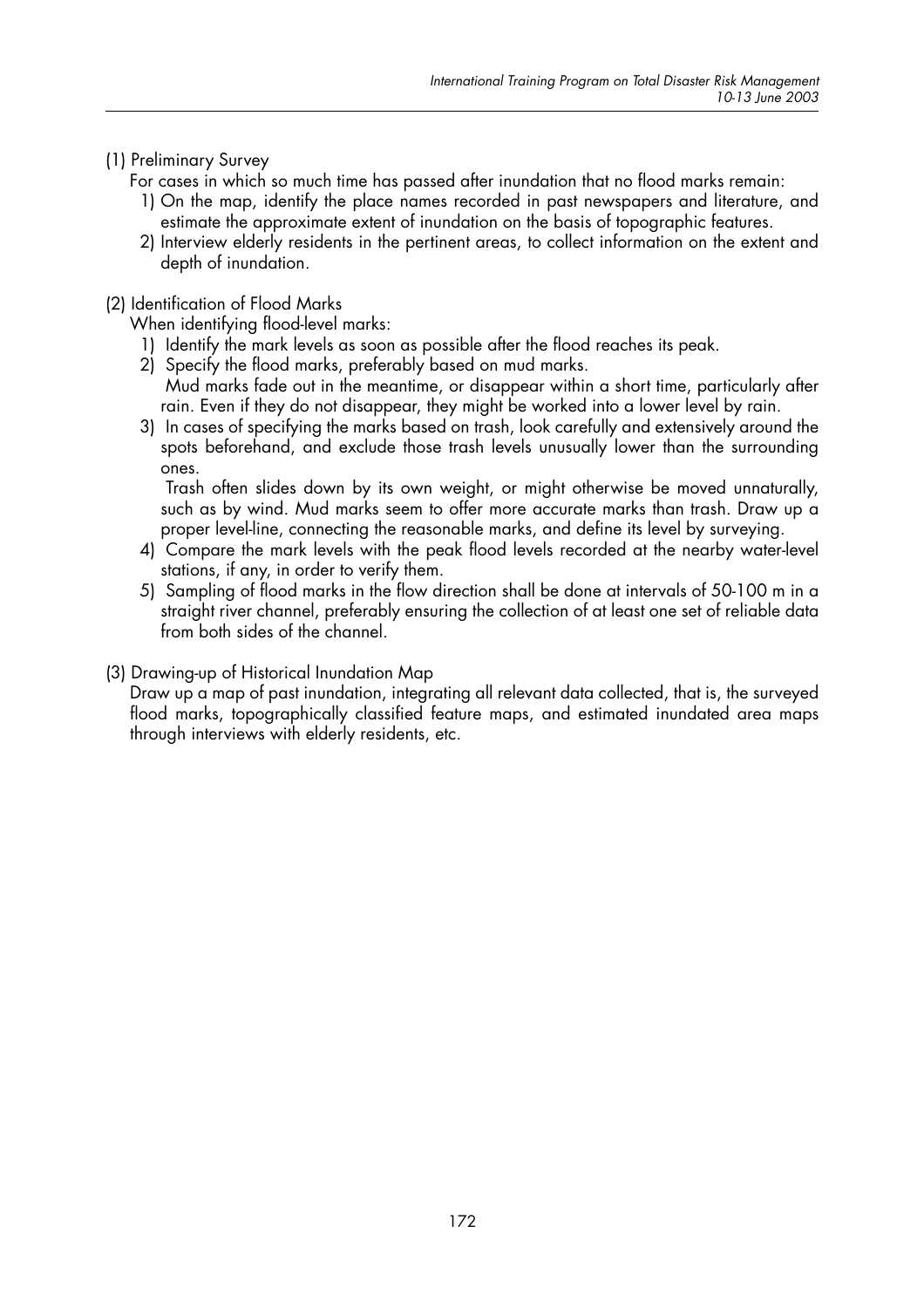# (1) Preliminary Survey

- For cases in which so much time has passed after inundation that no flood marks remain:
	- 1) On the map, identify the place names recorded in past newspapers and literature, and estimate the approximate extent of inundation on the basis of topographic features.
	- 2) Interview elderly residents in the pertinent areas, to collect information on the extent and depth of inundation.

#### (2) Identification of Flood Marks

When identifying flood-level marks:

- 1) Identify the mark levels as soon as possible after the flood reaches its peak.
- 2) Specify the flood marks, preferably based on mud marks. Mud marks fade out in the meantime, or disappear within a short time, particularly after rain. Even if they do not disappear, they might be worked into a lower level by rain.
- 3) In cases of specifying the marks based on trash, look carefully and extensively around the spots beforehand, and exclude those trash levels unusually lower than the surrounding ones.

Trash often slides down by its own weight, or might otherwise be moved unnaturally, such as by wind. Mud marks seem to offer more accurate marks than trash. Draw up a proper level-line, connecting the reasonable marks, and define its level by surveying.

- 4) Compare the mark levels with the peak flood levels recorded at the nearby water-level stations, if any, in order to verify them.
- 5) Sampling of flood marks in the flow direction shall be done at intervals of 50-100 m in a straight river channel, preferably ensuring the collection of at least one set of reliable data from both sides of the channel.

#### (3) Drawing-up of Historical Inundation Map

Draw up a map of past inundation, integrating all relevant data collected, that is, the surveyed flood marks, topographically classified feature maps, and estimated inundated area maps through interviews with elderly residents, etc.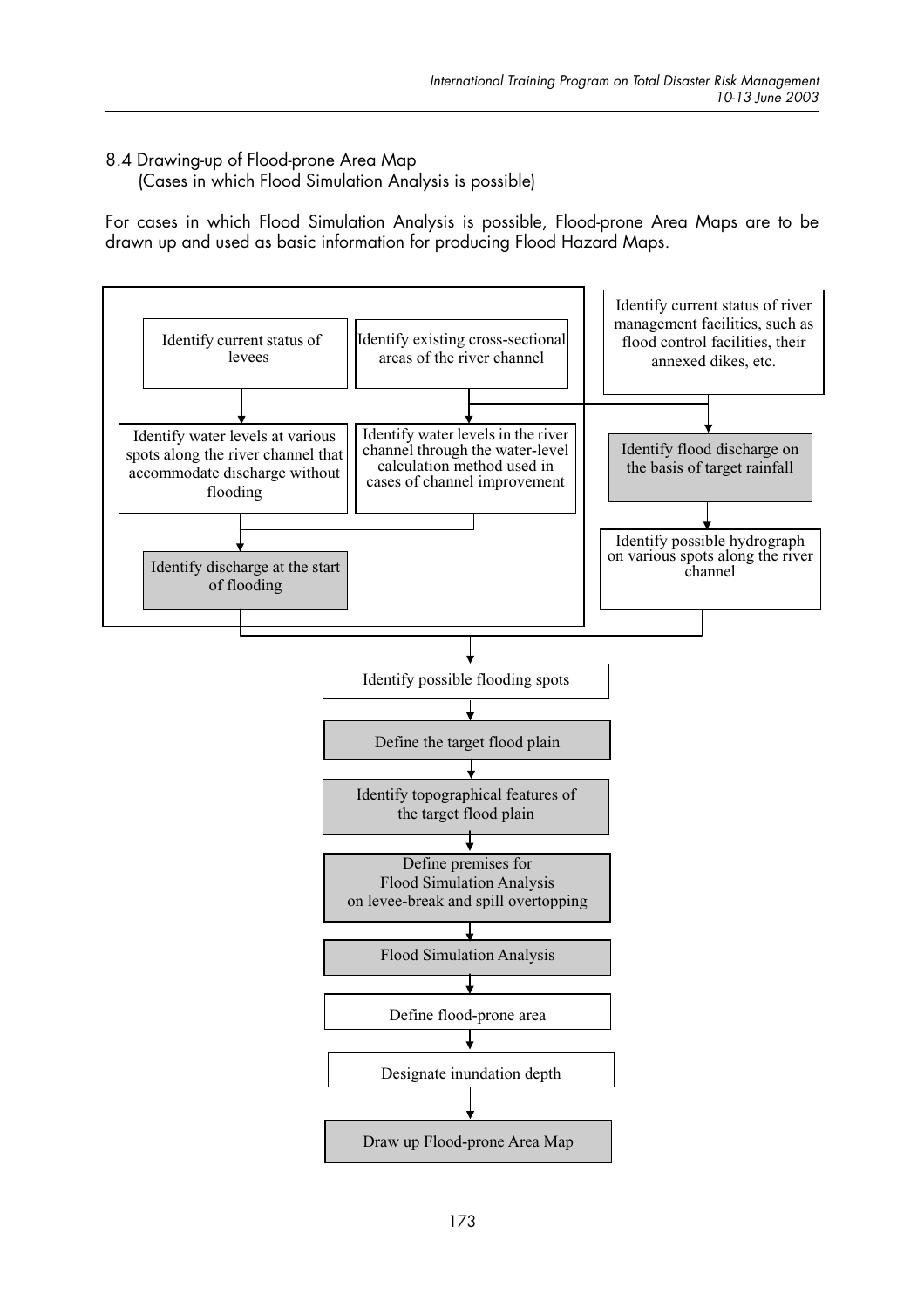## 8.4 Drawing-up of Flood-prone Area Map

(Cases in which Flood Simulation Analysis is possible)

For cases in which Flood Simulation Analysis is possible, Flood-prone Area Maps are to be drawn up and used as basic information for producing Flood Hazard Maps.

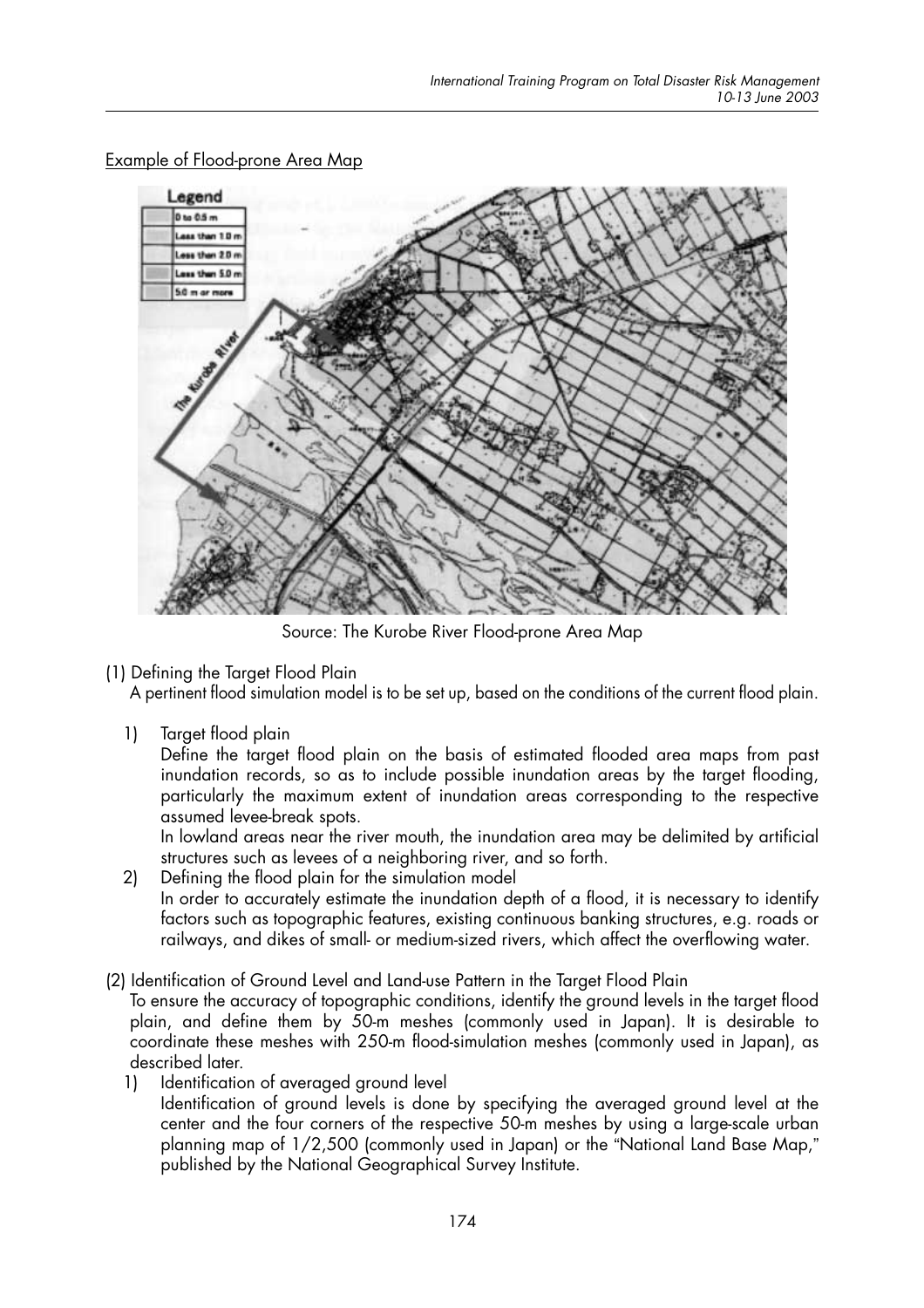Legend  $0 \text{ to } 0.5 \text{ m}$ ass than 1.0 Less than 20 n Less than 5.0 m 5.0 m or more

**Example of Flood-prone Area Map** 

Source: The Kurobe River Flood-prone Area Map

(1) Defining the Target Flood Plain

A pertinent flood simulation model is to be set up, based on the conditions of the current flood plain.

 $1)$ Target flood plain

Define the target flood plain on the basis of estimated flooded area maps from past inundation records, so as to include possible inundation areas by the target flooding, particularly the maximum extent of inundation areas corresponding to the respective assumed levee-break spots.

In lowland areas near the river mouth, the inundation area may be delimited by artificial structures such as levees of a neighboring river, and so forth.

- Defining the flood plain for the simulation model  $2)$ In order to accurately estimate the inundation depth of a flood, it is necessary to identify factors such as topographic features, existing continuous banking structures, e.g. roads or railways, and dikes of small- or medium-sized rivers, which affect the overflowing water.
- (2) Identification of Ground Level and Land-use Pattern in the Target Flood Plain

To ensure the accuracy of topographic conditions, identify the ground levels in the target flood plain, and define them by 50-m meshes (commonly used in Japan). It is desirable to coordinate these meshes with 250-m flood-simulation meshes (commonly used in Japan), as described later.

Identification of averaged ground level  $\left| \cdot \right|$ 

Identification of ground levels is done by specifying the averaged ground level at the center and the four corners of the respective 50-m meshes by using a large-scale urban planning map of 1/2,500 (commonly used in Japan) or the "National Land Base Map," published by the National Geographical Survey Institute.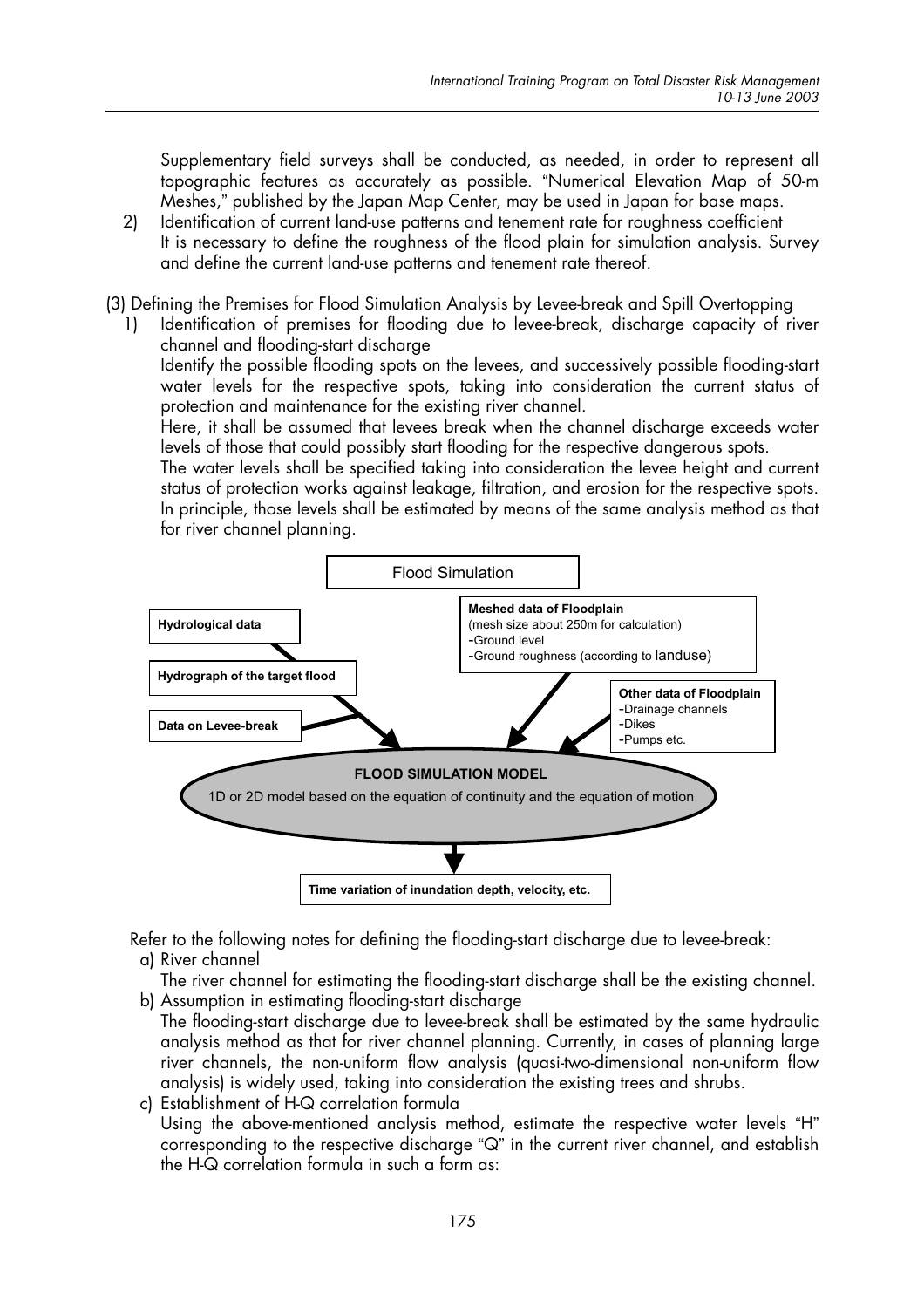Supplementary field surveys shall be conducted, as needed, in order to represent all topographic features as accurately as possible. "Numerical Elevation Map of 50-m Meshes," published by the Japan Map Center, may be used in Japan for base maps.

 $2)$ Identification of current land-use patterns and tenement rate for roughness coefficient It is necessary to define the roughness of the flood plain for simulation analysis. Survey and define the current land-use patterns and tenement rate thereof.

(3) Defining the Premises for Flood Simulation Analysis by Levee-break and Spill Overtopping

 $1)$ Identification of premises for flooding due to levee-break, discharge capacity of river channel and flooding-start discharge

Identify the possible flooding spots on the levees, and successively possible flooding-start water levels for the respective spots, taking into consideration the current status of protection and maintenance for the existing river channel.

Here, it shall be assumed that levees break when the channel discharge exceeds water levels of those that could possibly start flooding for the respective dangerous spots.

The water levels shall be specified taking into consideration the levee height and current status of protection works against leakage, filtration, and erosion for the respective spots. In principle, those levels shall be estimated by means of the same analysis method as that for river channel planning.



Refer to the following notes for defining the flooding-start discharge due to levee-break: a) River channel

The river channel for estimating the flooding-start discharge shall be the existing channel. b) Assumption in estimating flooding-start discharge

- The flooding-start discharge due to levee-break shall be estimated by the same hydraulic analysis method as that for river channel planning. Currently, in cases of planning large river channels, the non-uniform flow analysis (quasi-two-dimensional non-uniform flow analysis) is widely used, taking into consideration the existing trees and shrubs.
- c) Establishment of H-Q correlation formula Using the above-mentioned analysis method, estimate the respective water levels "H" corresponding to the respective discharge "Q" in the current river channel, and establish the H-Q correlation formula in such a form as: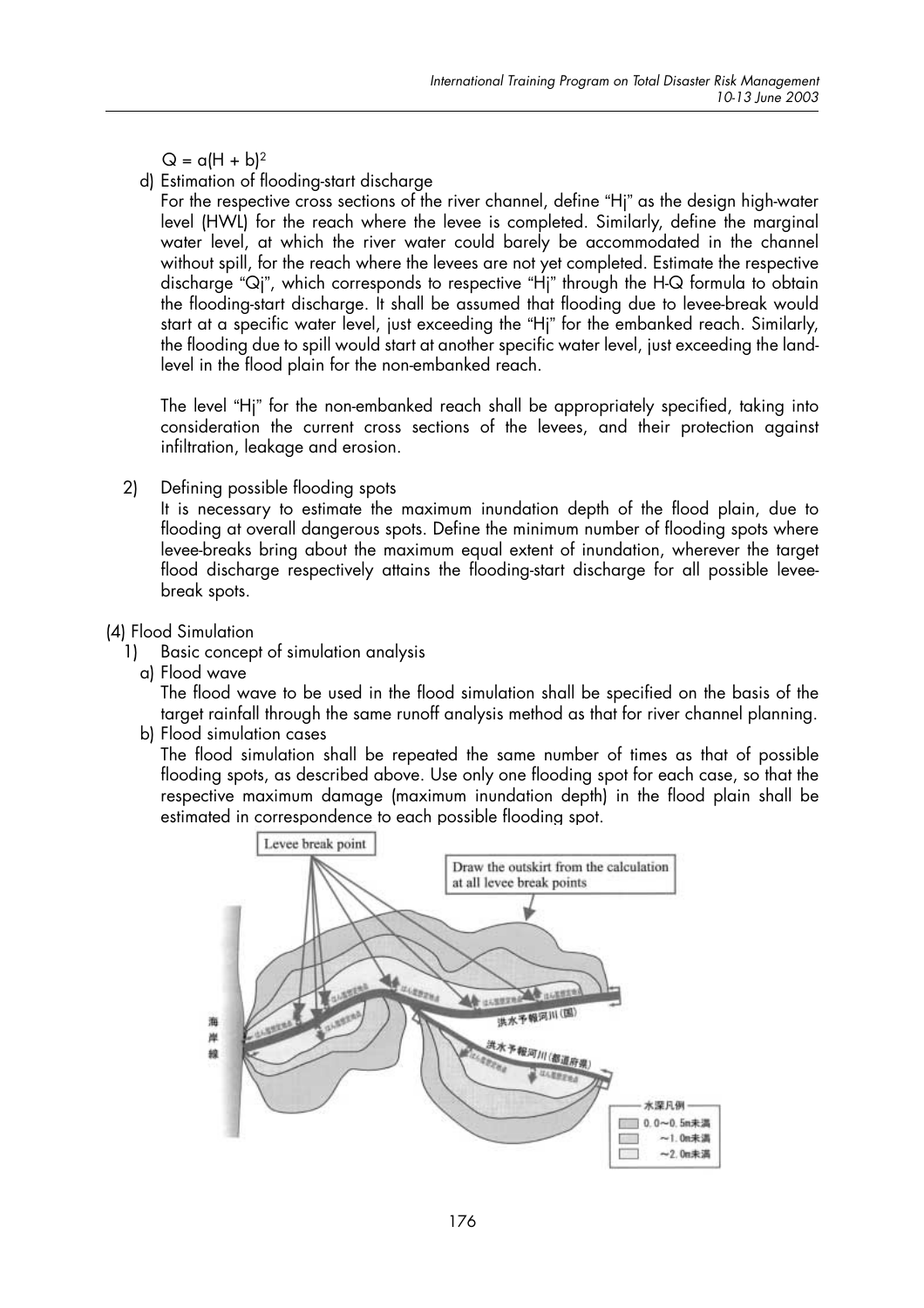$Q = a(H + b)^2$ 

## d) Estimation of flooding-start discharge

For the respective cross sections of the river channel, define "Hi" as the design high-water level (HWL) for the reach where the levee is completed. Similarly, define the marginal water level, at which the river water could barely be accommodated in the channel without spill, for the reach where the levees are not yet completed. Estimate the respective discharge "Qi", which corresponds to respective "Hi" through the H-Q formula to obtain the flooding-start discharge. It shall be assumed that flooding due to levee-break would start at a specific water level, just exceeding the "Hj" for the embanked reach. Similarly, the flooding due to spill would start at another specific water level, just exceeding the landlevel in the flood plain for the non-embanked reach.

The level "Hi" for the non-embanked reach shall be appropriately specified, taking into consideration the current cross sections of the levees, and their protection against infiltration, leakage and erosion.

 $2)$ Defining possible flooding spots

It is necessary to estimate the maximum inundation depth of the flood plain, due to flooding at overall dangerous spots. Define the minimum number of flooding spots where levee-breaks bring about the maximum equal extent of inundation, wherever the target flood discharge respectively attains the flooding-start discharge for all possible leveebreak spots.

# (4) Flood Simulation

- Basic concept of simulation analysis  $1)$ 
	- a) Flood wave

The flood wave to be used in the flood simulation shall be specified on the basis of the target rainfall through the same runoff analysis method as that for river channel planning.

b) Flood simulation cases

The flood simulation shall be repeated the same number of times as that of possible flooding spots, as described above. Use only one flooding spot for each case, so that the respective maximum damage (maximum inundation depth) in the flood plain shall be estimated in correspondence to each possible flooding spot.

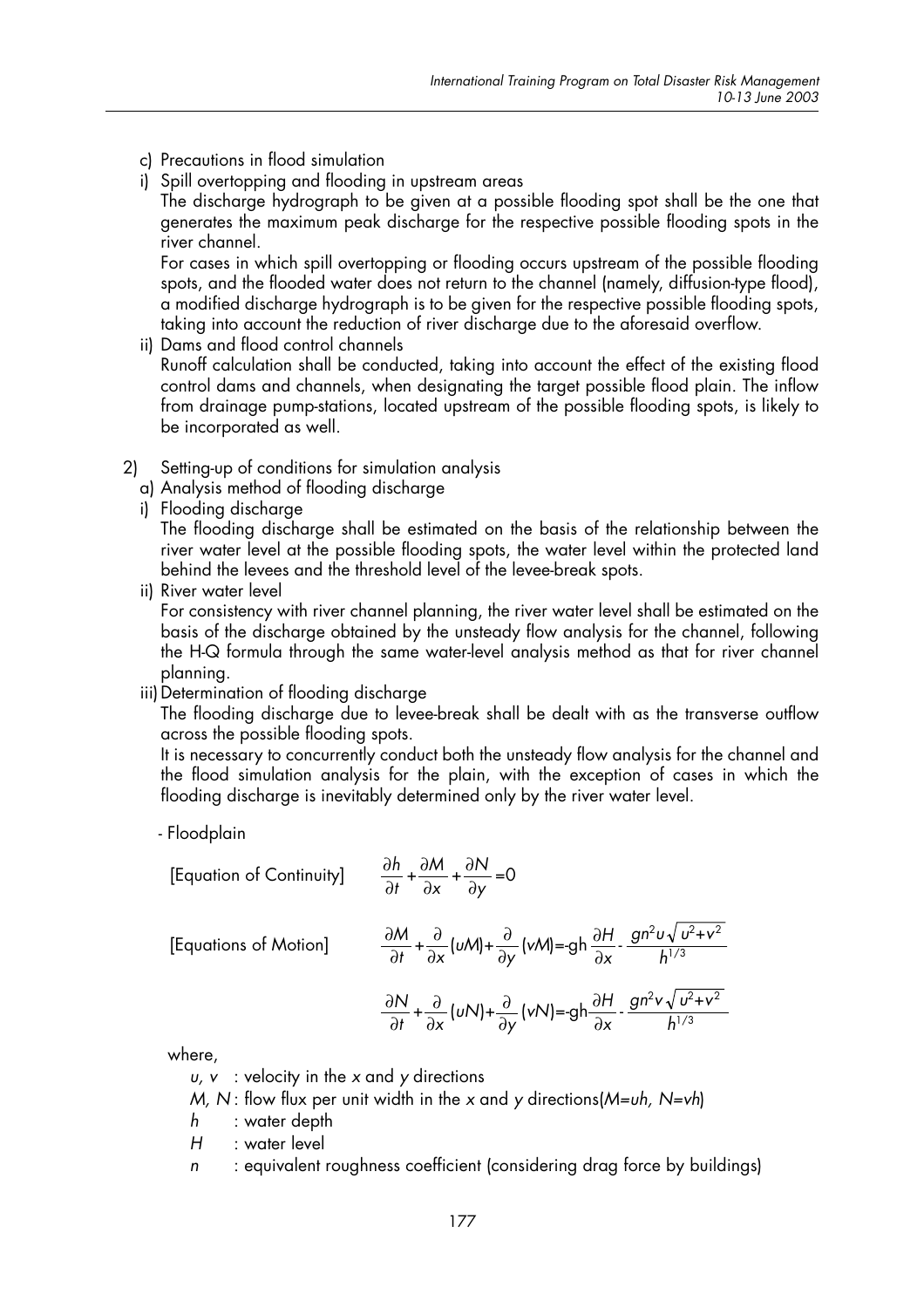- c) Precautions in flood simulation
- i) Spill overtopping and flooding in upstream areas
- The discharge hydrograph to be given at a possible flooding spot shall be the one that generates the maximum peak discharge for the respective possible flooding spots in the river channel.

For cases in which spill overtopping or flooding occurs upstream of the possible flooding spots, and the flooded water does not return to the channel (namely, diffusion-type flood), a modified discharge hydrograph is to be given for the respective possible flooding spots, taking into account the reduction of river discharge due to the aforesaid overflow.

- ii) Dams and flood control channels Runoff calculation shall be conducted, taking into account the effect of the existing flood control dams and channels, when designating the target possible flood plain. The inflow from drainage pump-stations, located upstream of the possible flooding spots, is likely to be incorporated as well.
	- 2) Setting-up of conditions for simulation analysis
- a) Analysis method of flooding discharge
- i) Flooding discharge

The flooding discharge shall be estimated on the basis of the relationship between the river water level at the possible flooding spots, the water level within the protected land behind the levees and the threshold level of the levee-break spots.

ii) River water level

For consistency with river channel planning, the river water level shall be estimated on the basis of the discharge obtained by the unsteady flow analysis for the channel, following the H-Q formula through the same water-level analysis method as that for river channel planning.

iii) Determination of flooding discharge

The flooding discharge due to levee-break shall be dealt with as the transverse outflow across the possible flooding spots.

It is necessary to concurrently conduct both the unsteady flow analysis for the channel and the flood simulation analysis for the plain, with the exception of cases in which the flooding discharge is inevitably determined only by the river water level.

- Floodplain

[Equation of Continuity] 
$$
\frac{\partial h}{\partial t} + \frac{\partial M}{\partial x} + \frac{\partial N}{\partial y} = 0
$$

[Equations of Motion]  

$$
\frac{\partial M}{\partial t} + \frac{\partial}{\partial x} (uM) + \frac{\partial}{\partial y} (vM) = -gh \frac{\partial H}{\partial x} - \frac{gn^{2}u \sqrt{u^{2} + v^{2}}}{h^{1/3}}
$$

$$
\frac{\partial N}{\partial t} + \frac{\partial}{\partial x} (uN) + \frac{\partial}{\partial y} (vN) = -gh \frac{\partial H}{\partial x} - \frac{gn^{2}v \sqrt{u^{2} + v^{2}}}{h^{1/3}}
$$

where,

 $u, v$  : velocity in the x and y directions

M, N: flow flux per unit width in the x and y directions  $(M=vh, N=vh)$ 

- h : water depth
- H : water level
- <sup>n</sup> : equivalent roughness coefficient (considering drag force by buildings)